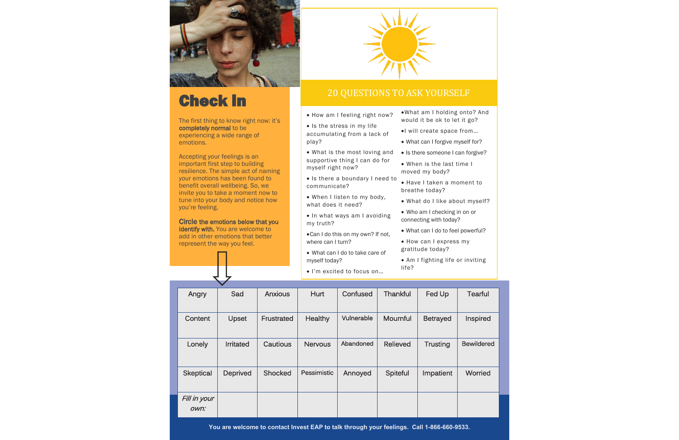

# Check in

The first thing to know right now: it's completely normal to be experiencing a wide range of emotions.

Accepting your feelings is an important first step to building resilience. The simple act of naming your emotions has been found to benefit overall wellbeing. So, we invite you to take a moment now to tune into your body and notice how you're feeling.

Circle the emotions below that you identify with. You are welcome to add in other emotions that better represent the way you feel.



### 20 QUESTIONS TO ASK YOURSELF

- How am I feeling right now?
- Is the stress in my life accumulating from a lack of play?
- What is the most loving and supportive thing I can do for myself right now?
- Is there a boundary I need to communicate?
- When I listen to my body, what does it need?
- In what ways am I avoiding my truth?
- •Can I do this on my own? If not, where can I turn?
- What can I do to take care of myself today?
- I'm excited to focus on…
- •What am I holding onto? And would it be ok to let it go?
- •I will create space from…
- What can I forgive myself for?
- Is there someone I can forgive?
- When is the last time I moved my body?
- Have I taken a moment to breathe today?
- What do I like about myself?
- Who am I checking in on or connecting with today?
- What can I do to feel powerful?
- How can I express my gratitude today?
- Am I fighting life or inviting life?

| Angry                | Sad              | <b>Anxious</b> | Hurt           | Confused   | <b>Thankful</b> | Fed Up          | <b>Tearful</b>    |
|----------------------|------------------|----------------|----------------|------------|-----------------|-----------------|-------------------|
| Content              | Upset            | Frustrated     | Healthy        | Vulnerable | Mournful        | <b>Betrayed</b> | Inspired          |
| Lonely               | <b>Irritated</b> | Cautious       | <b>Nervous</b> | Abandoned  | <b>Relieved</b> | <b>Trusting</b> | <b>Bewildered</b> |
| <b>Skeptical</b>     | <b>Deprived</b>  | Shocked        | Pessimistic    | Annoyed    | Spiteful        | Impatient       | Worried           |
| Fill in your<br>own: |                  |                |                |            |                 |                 |                   |

**You are welcome to contact Invest EAP to talk through your feelings. Call 1-866-660-9533.**